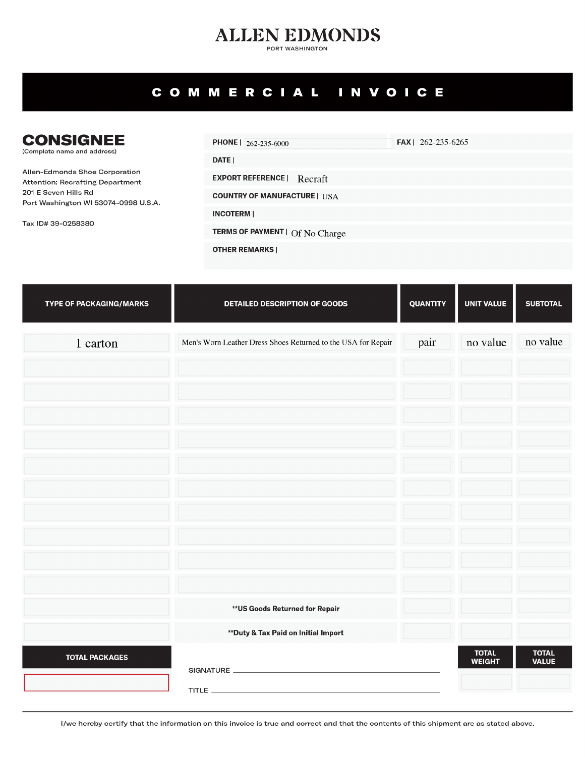## **ALLEN EDMONDS**

PORT WASHINGTON

## COMMERCIAL INVOICE

| <b>CONSIGNEE</b><br>(Complete name and address)                                                                                                          | <b>PHONE</b>   $262-235-6000$          | <b>FAX</b>   262-235-6265 |
|----------------------------------------------------------------------------------------------------------------------------------------------------------|----------------------------------------|---------------------------|
|                                                                                                                                                          | <b>DATE</b> I                          |                           |
| Allen-Edmonds Shoe Corporation<br>Attention: Recrafting Department<br>201 E Seven Hills Rd<br>Port Washington WI 53074-0998 U.S.A.<br>Tax ID# 39-0258380 | <b>EXPORT REFERENCE</b>   Recraft      |                           |
|                                                                                                                                                          | <b>COUNTRY OF MANUFACTURE   USA</b>    |                           |
|                                                                                                                                                          | <b>INCOTERMI</b>                       |                           |
|                                                                                                                                                          | <b>TERMS OF PAYMENT   Of No Charge</b> |                           |
|                                                                                                                                                          | <b>OTHER REMARKS</b>                   |                           |

| <b>TYPE OF PACKAGING/MARKS</b> | <b>DETAILED DESCRIPTION OF GOODS</b>                          | <b>QUANTITY</b> | <b>UNIT VALUE</b>             | <b>SUBTOTAL</b>              |
|--------------------------------|---------------------------------------------------------------|-----------------|-------------------------------|------------------------------|
| 1 carton                       | Men's Worn Leather Dress Shoes Returned to the USA for Repair | pair            | no value                      | no value                     |
|                                |                                                               |                 |                               |                              |
|                                |                                                               |                 |                               |                              |
|                                |                                                               |                 |                               |                              |
|                                |                                                               |                 |                               |                              |
|                                |                                                               |                 |                               |                              |
|                                |                                                               |                 |                               |                              |
|                                |                                                               |                 |                               |                              |
|                                |                                                               |                 |                               |                              |
|                                |                                                               |                 |                               |                              |
|                                | ** US Goods Returned for Repair                               |                 |                               |                              |
|                                | ** Duty & Tax Paid on Initial Import                          |                 |                               |                              |
| <b>TOTAL PACKAGES</b>          |                                                               |                 | <b>TOTAL</b><br><b>WEIGHT</b> | <b>TOTAL</b><br><b>VALUE</b> |
|                                |                                                               |                 |                               |                              |

I/we hereby certify that the information on this invoice is true and correct and that the contents of this shipment are as stated above.